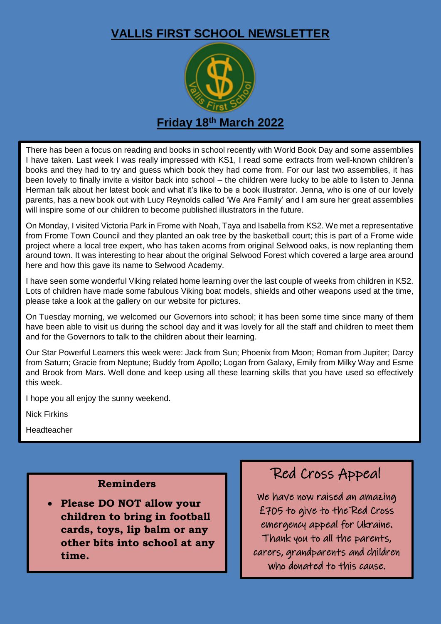### **VALLIS FIRST SCHOOL NEWSLETTER**



There has been a focus on reading and books in school recently with World Book Day and some assemblies I have taken. Last week I was really impressed with KS1, I read some extracts from well-known children's books and they had to try and guess which book they had come from. For our last two assemblies, it has been lovely to finally invite a visitor back into school – the children were lucky to be able to listen to Jenna Herman talk about her latest book and what it's like to be a book illustrator. Jenna, who is one of our lovely parents, has a new book out with Lucy Reynolds called 'We Are Family' and I am sure her great assemblies will inspire some of our children to become published illustrators in the future.

On Monday, I visited Victoria Park in Frome with Noah, Taya and Isabella from KS2. We met a representative from Frome Town Council and they planted an oak tree by the basketball court; this is part of a Frome wide project where a local tree expert, who has taken acorns from original Selwood oaks, is now replanting them around town. It was interesting to hear about the original Selwood Forest which covered a large area around here and how this gave its name to Selwood Academy.

I have seen some wonderful Viking related home learning over the last couple of weeks from children in KS2. Lots of children have made some fabulous Viking boat models, shields and other weapons used at the time, please take a look at the gallery on our website for pictures.

On Tuesday morning, we welcomed our Governors into school; it has been some time since many of them have been able to visit us during the school day and it was lovely for all the staff and children to meet them and for the Governors to talk to the children about their learning.

Our Star Powerful Learners this week were: Jack from Sun; Phoenix from Moon; Roman from Jupiter; Darcy from Saturn; Gracie from Neptune; Buddy from Apollo; Logan from Galaxy, Emily from Milky Way and Esme and Brook from Mars. Well done and keep using all these learning skills that you have used so effectively this week.

I hope you all enjoy the sunny weekend.

Nick Firkins

Headteacher

#### **Reminders**

 **Please DO NOT allow your children to bring in football cards, toys, lip balm or any other bits into school at any time.**

## Red Cross Appeal

We have now raised an amazing £705 to give to the Red Cross emergency appeal for Ukraine. Thank you to all the parents, carers, grandparents and children who donated to this cause.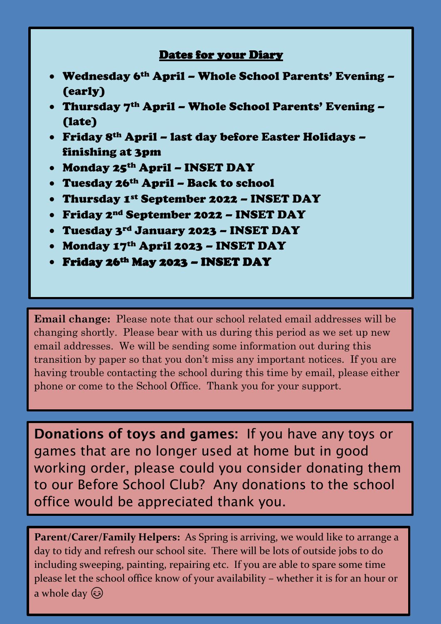### Dates for your Diary

- Wednesday 6th April Whole School Parents' Evening (early)
- Thursday 7th April Whole School Parents' Evening (late)
- Friday 8th April last day before Easter Holidays finishing at 3pm
- Monday 25th April INSET DAY
- Tuesday 26th April Back to school
- Thursday 1st September 2022 INSET DAY
- Friday 2nd September 2022 INSET DAY
- Tuesday 3rd January 2023 INSET DAY
- Monday 17th April 2023 INSET DAY
- Friday 26th May 2023 INSET DAY

**Email change:** Please note that our school related email addresses will be email addresses. We will be sending some information out during this  transition by paper so that you don't miss any important notices. If you are  having trouble contacting the school during this time by email, please either  phone or come to the School Office. Thank you for your support. changing shortly. Please bear with us during this period as we set up new

**Donations of toys and games:** If you have any toys or games that are no longer used at home but in good working order, please could you consider donating them to our Before School Club? Any donations to the school office would be appreciated thank you.

**Parent/Carer/Family Helpers:** As Spring is arriving, we would like to arrange a day to tidy and refresh our school site. There will be lots of outside jobs to do including sweeping, painting, repairing etc. If you are able to spare some time please let the school office know of your availability – whether it is for an hour or a whole day  $\circled{c}$